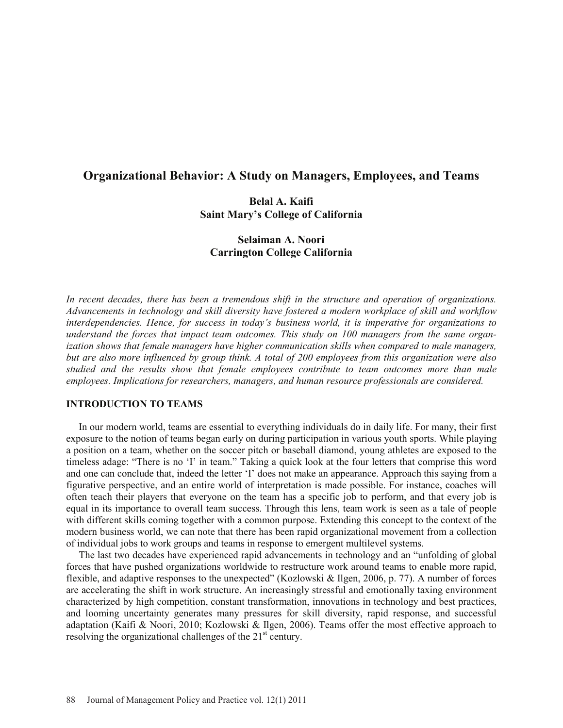# **Organizational Behavior: A Study on Managers, Employees, and Teams**

# **Belal A. Kaifi Saint Mary's College of California**

# **Selaiman A. Noori Carrington College California**

*In recent decades, there has been a tremendous shift in the structure and operation of organizations. Advancements in technology and skill diversity have fostered a modern workplace of skill and workflow interdependencies. Hence, for success in today's business world, it is imperative for organizations to understand the forces that impact team outcomes. This study on 100 managers from the same organization shows that female managers have higher communication skills when compared to male managers, but are also more influenced by group think. A total of 200 employees from this organization were also studied and the results show that female employees contribute to team outcomes more than male employees. Implications for researchers, managers, and human resource professionals are considered.* 

# **INTRODUCTION TO TEAMS**

 In our modern world, teams are essential to everything individuals do in daily life. For many, their first exposure to the notion of teams began early on during participation in various youth sports. While playing a position on a team, whether on the soccer pitch or baseball diamond, young athletes are exposed to the timeless adage: "There is no 'I' in team." Taking a quick look at the four letters that comprise this word and one can conclude that, indeed the letter 'I' does not make an appearance. Approach this saying from a figurative perspective, and an entire world of interpretation is made possible. For instance, coaches will often teach their players that everyone on the team has a specific job to perform, and that every job is equal in its importance to overall team success. Through this lens, team work is seen as a tale of people with different skills coming together with a common purpose. Extending this concept to the context of the modern business world, we can note that there has been rapid organizational movement from a collection of individual jobs to work groups and teams in response to emergent multilevel systems.

The last two decades have experienced rapid advancements in technology and an "unfolding of global forces that have pushed organizations worldwide to restructure work around teams to enable more rapid, flexible, and adaptive responses to the unexpected" (Kozlowski & Ilgen, 2006, p. 77). A number of forces are accelerating the shift in work structure. An increasingly stressful and emotionally taxing environment characterized by high competition, constant transformation, innovations in technology and best practices, and looming uncertainty generates many pressures for skill diversity, rapid response, and successful adaptation (Kaifi & Noori, 2010; Kozlowski & Ilgen, 2006). Teams offer the most effective approach to resolving the organizational challenges of the  $21<sup>st</sup>$  century.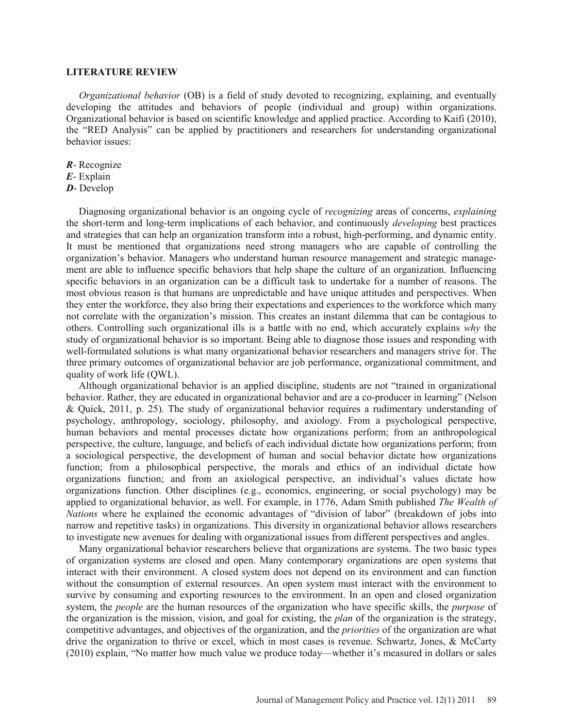#### **LITERATURE REVIEW**

*Organizational behavior* (OB) is a field of study devoted to recognizing, explaining, and eventually developing the attitudes and behaviors of people (individual and group) within organizations. Organizational behavior is based on scientific knowledge and applied practice. According to Kaifi (2010), the "RED Analysis" can be applied by practitioners and researchers for understanding organizational behavior issues:

- *R* Recognize
- *E* Explain
- *D* Develop

Diagnosing organizational behavior is an ongoing cycle of *recognizing* areas of concerns, *explaining* the short-term and long-term implications of each behavior, and continuously *developing* best practices and strategies that can help an organization transform into a robust, high-performing, and dynamic entity. It must be mentioned that organizations need strong managers who are capable of controlling the organization's behavior. Managers who understand human resource management and strategic management are able to influence specific behaviors that help shape the culture of an organization. Influencing specific behaviors in an organization can be a difficult task to undertake for a number of reasons. The most obvious reason is that humans are unpredictable and have unique attitudes and perspectives. When they enter the workforce, they also bring their expectations and experiences to the workforce which many not correlate with the organization's mission. This creates an instant dilemma that can be contagious to others. Controlling such organizational ills is a battle with no end, which accurately explains *why* the study of organizational behavior is so important. Being able to diagnose those issues and responding with well-formulated solutions is what many organizational behavior researchers and managers strive for. The three primary outcomes of organizational behavior are job performance, organizational commitment, and quality of work life (QWL).

Although organizational behavior is an applied discipline, students are not "trained in organizational behavior. Rather, they are educated in organizational behavior and are a co-producer in learning" (Nelson & Quick, 2011, p. 25). The study of organizational behavior requires a rudimentary understanding of psychology, anthropology, sociology, philosophy, and axiology. From a psychological perspective, human behaviors and mental processes dictate how organizations perform; from an anthropological perspective, the culture, language, and beliefs of each individual dictate how organizations perform; from a sociological perspective, the development of human and social behavior dictate how organizations function; from a philosophical perspective, the morals and ethics of an individual dictate how organizations function; and from an axiological perspective, an individual's values dictate how organizations function. Other disciplines (e.g., economics, engineering, or social psychology) may be applied to organizational behavior, as well. For example, in 1776, Adam Smith published *The Wealth of Nations* where he explained the economic advantages of "division of labor" (breakdown of jobs into narrow and repetitive tasks) in organizations. This diversity in organizational behavior allows researchers to investigate new avenues for dealing with organizational issues from different perspectives and angles.

Many organizational behavior researchers believe that organizations are systems. The two basic types of organization systems are closed and open. Many contemporary organizations are open systems that interact with their environment. A closed system does not depend on its environment and can function without the consumption of external resources. An open system must interact with the environment to survive by consuming and exporting resources to the environment. In an open and closed organization system, the *people* are the human resources of the organization who have specific skills, the *purpose* of the organization is the mission, vision, and goal for existing, the *plan* of the organization is the strategy, competitive advantages, and objectives of the organization, and the *priorities* of the organization are what drive the organization to thrive or excel, which in most cases is revenue. Schwartz, Jones, & McCarty (2010) explain, "No matter how much value we produce today—whether it's measured in dollars or sales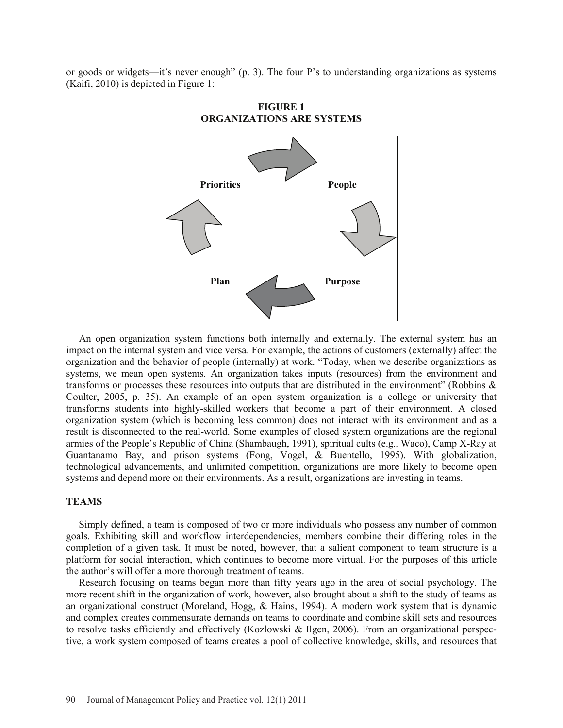or goods or widgets—it's never enough" (p. 3). The four P's to understanding organizations as systems (Kaifi, 2010) is depicted in Figure 1:



**FIGURE 1 ORGANIZATIONS ARE SYSTEMS**

An open organization system functions both internally and externally. The external system has an impact on the internal system and vice versa. For example, the actions of customers (externally) affect the organization and the behavior of people (internally) at work. "Today, when we describe organizations as systems, we mean open systems. An organization takes inputs (resources) from the environment and transforms or processes these resources into outputs that are distributed in the environment" (Robbins & Coulter, 2005, p. 35). An example of an open system organization is a college or university that transforms students into highly-skilled workers that become a part of their environment. A closed organization system (which is becoming less common) does not interact with its environment and as a result is disconnected to the real-world. Some examples of closed system organizations are the regional armies of the People's Republic of China (Shambaugh, 1991), spiritual cults (e.g., Waco), Camp X-Ray at Guantanamo Bay, and prison systems (Fong, Vogel, & Buentello, 1995). With globalization, technological advancements, and unlimited competition, organizations are more likely to become open systems and depend more on their environments. As a result, organizations are investing in teams.

# **TEAMS**

Simply defined, a team is composed of two or more individuals who possess any number of common goals. Exhibiting skill and workflow interdependencies, members combine their differing roles in the completion of a given task. It must be noted, however, that a salient component to team structure is a platform for social interaction, which continues to become more virtual. For the purposes of this article the author's will offer a more thorough treatment of teams.

Research focusing on teams began more than fifty years ago in the area of social psychology. The more recent shift in the organization of work, however, also brought about a shift to the study of teams as an organizational construct (Moreland, Hogg, & Hains, 1994). A modern work system that is dynamic and complex creates commensurate demands on teams to coordinate and combine skill sets and resources to resolve tasks efficiently and effectively (Kozlowski & Ilgen, 2006). From an organizational perspective, a work system composed of teams creates a pool of collective knowledge, skills, and resources that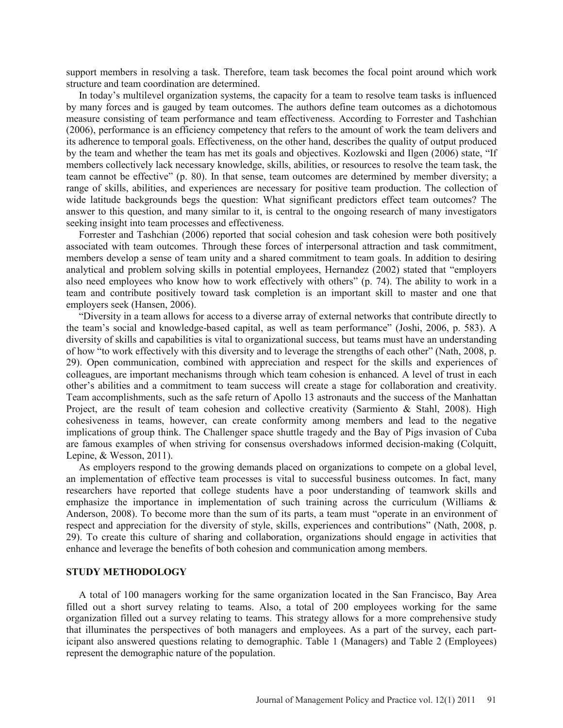support members in resolving a task. Therefore, team task becomes the focal point around which work structure and team coordination are determined.

In today's multilevel organization systems, the capacity for a team to resolve team tasks is influenced by many forces and is gauged by team outcomes. The authors define team outcomes as a dichotomous measure consisting of team performance and team effectiveness. According to Forrester and Tashchian (2006), performance is an efficiency competency that refers to the amount of work the team delivers and its adherence to temporal goals. Effectiveness, on the other hand, describes the quality of output produced by the team and whether the team has met its goals and objectives. Kozlowski and Ilgen (2006) state, "If members collectively lack necessary knowledge, skills, abilities, or resources to resolve the team task, the team cannot be effective" (p. 80). In that sense, team outcomes are determined by member diversity; a range of skills, abilities, and experiences are necessary for positive team production. The collection of wide latitude backgrounds begs the question: What significant predictors effect team outcomes? The answer to this question, and many similar to it, is central to the ongoing research of many investigators seeking insight into team processes and effectiveness.

Forrester and Tashchian (2006) reported that social cohesion and task cohesion were both positively associated with team outcomes. Through these forces of interpersonal attraction and task commitment, members develop a sense of team unity and a shared commitment to team goals. In addition to desiring analytical and problem solving skills in potential employees, Hernandez (2002) stated that "employers also need employees who know how to work effectively with others" (p. 74). The ability to work in a team and contribute positively toward task completion is an important skill to master and one that employers seek (Hansen, 2006).

"Diversity in a team allows for access to a diverse array of external networks that contribute directly to the team's social and knowledge-based capital, as well as team performance" (Joshi, 2006, p. 583). A diversity of skills and capabilities is vital to organizational success, but teams must have an understanding of how "to work effectively with this diversity and to leverage the strengths of each other" (Nath, 2008, p. 29). Open communication, combined with appreciation and respect for the skills and experiences of colleagues, are important mechanisms through which team cohesion is enhanced. A level of trust in each other's abilities and a commitment to team success will create a stage for collaboration and creativity. Team accomplishments, such as the safe return of Apollo 13 astronauts and the success of the Manhattan Project, are the result of team cohesion and collective creativity (Sarmiento & Stahl, 2008). High cohesiveness in teams, however, can create conformity among members and lead to the negative implications of group think. The Challenger space shuttle tragedy and the Bay of Pigs invasion of Cuba are famous examples of when striving for consensus overshadows informed decision-making (Colquitt, Lepine, & Wesson, 2011).

As employers respond to the growing demands placed on organizations to compete on a global level, an implementation of effective team processes is vital to successful business outcomes. In fact, many researchers have reported that college students have a poor understanding of teamwork skills and emphasize the importance in implementation of such training across the curriculum (Williams & Anderson, 2008). To become more than the sum of its parts, a team must "operate in an environment of respect and appreciation for the diversity of style, skills, experiences and contributions" (Nath, 2008, p. 29). To create this culture of sharing and collaboration, organizations should engage in activities that enhance and leverage the benefits of both cohesion and communication among members.

### **STUDY METHODOLOGY**

A total of 100 managers working for the same organization located in the San Francisco, Bay Area filled out a short survey relating to teams. Also, a total of 200 employees working for the same organization filled out a survey relating to teams. This strategy allows for a more comprehensive study that illuminates the perspectives of both managers and employees. As a part of the survey, each participant also answered questions relating to demographic. Table 1 (Managers) and Table 2 (Employees) represent the demographic nature of the population.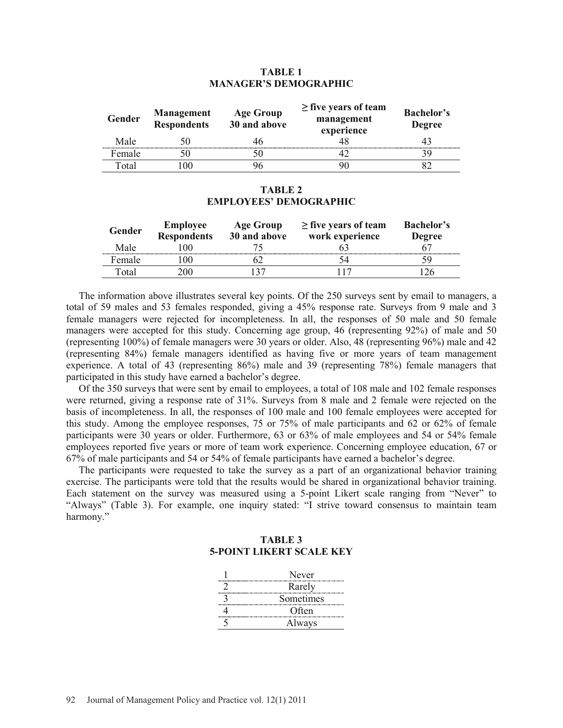### **TABLE 1 MANAGER'S DEMOGRAPHIC**

| Gender | <b>Management</b><br><b>Respondents</b> | <b>Age Group</b><br>30 and above | $\geq$ five years of team<br>management<br>experience | <b>Bachelor's</b><br><b>Degree</b> |
|--------|-----------------------------------------|----------------------------------|-------------------------------------------------------|------------------------------------|
| Male   |                                         |                                  |                                                       |                                    |
| Female |                                         |                                  |                                                       |                                    |
| Total  | 00                                      |                                  |                                                       |                                    |

#### **TABLE 2 EMPLOYEES' DEMOGRAPHIC**

| Gender | <b>Employee</b><br><b>Respondents</b> | Age Group<br>30 and above | $\geq$ five years of team<br>work experience | <b>Bachelor's</b><br><b>Degree</b> |
|--------|---------------------------------------|---------------------------|----------------------------------------------|------------------------------------|
| Male   |                                       |                           |                                              |                                    |
| Female | 00                                    |                           |                                              |                                    |
| Γotal  |                                       |                           |                                              |                                    |

The information above illustrates several key points. Of the 250 surveys sent by email to managers, a total of 59 males and 53 females responded, giving a 45% response rate. Surveys from 9 male and 3 female managers were rejected for incompleteness. In all, the responses of 50 male and 50 female managers were accepted for this study. Concerning age group, 46 (representing 92%) of male and 50 (representing 100%) of female managers were 30 years or older. Also, 48 (representing 96%) male and 42 (representing 84%) female managers identified as having five or more years of team management experience. A total of 43 (representing 86%) male and 39 (representing 78%) female managers that participated in this study have earned a bachelor's degree.

Of the 350 surveys that were sent by email to employees, a total of 108 male and 102 female responses were returned, giving a response rate of 31%. Surveys from 8 male and 2 female were rejected on the basis of incompleteness. In all, the responses of 100 male and 100 female employees were accepted for this study. Among the employee responses, 75 or 75% of male participants and 62 or 62% of female participants were 30 years or older. Furthermore, 63 or 63% of male employees and 54 or 54% female employees reported five years or more of team work experience. Concerning employee education, 67 or 67% of male participants and 54 or 54% of female participants have earned a bachelor's degree.

The participants were requested to take the survey as a part of an organizational behavior training exercise. The participants were told that the results would be shared in organizational behavior training. Each statement on the survey was measured using a 5-point Likert scale ranging from "Never" to "Always" (Table 3). For example, one inquiry stated: "I strive toward consensus to maintain team harmony."

# **TABLE 3 5-POINT LIKERT SCALE KEY**

| Never     |
|-----------|
| Rarely    |
| Sometimes |
| Often     |
| Always    |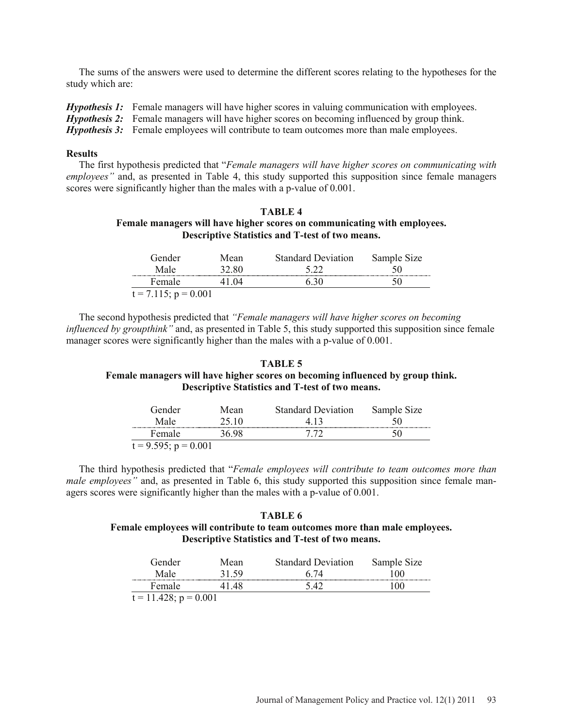The sums of the answers were used to determine the different scores relating to the hypotheses for the study which are:

*Hypothesis 1:* Female managers will have higher scores in valuing communication with employees. *Hypothesis 2:* Female managers will have higher scores on becoming influenced by group think. *Hypothesis 3:* Female employees will contribute to team outcomes more than male employees.

#### **Results**

The first hypothesis predicted that "*Female managers will have higher scores on communicating with employees"* and, as presented in Table 4, this study supported this supposition since female managers scores were significantly higher than the males with a p-value of 0.001.

### **TABLE 4 Female managers will have higher scores on communicating with employees. Descriptive Statistics and T-test of two means.**

| Gender                    | Mean   | <b>Standard Deviation</b> | Sample Size |
|---------------------------|--------|---------------------------|-------------|
| Male                      | 32.80  |                           |             |
| Female                    | I () 4 |                           |             |
| $t = 7.115$ ; $p = 0.001$ |        |                           |             |

The second hypothesis predicted that *"Female managers will have higher scores on becoming influenced by groupthink"* and, as presented in Table 5, this study supported this supposition since female manager scores were significantly higher than the males with a p-value of 0.001.

## **TABLE 5 Female managers will have higher scores on becoming influenced by group think. Descriptive Statistics and T-test of two means.**

| Gender                    | Mean   | <b>Standard Deviation</b> | Sample Size |
|---------------------------|--------|---------------------------|-------------|
| Male                      | 45 IO  |                           |             |
| Female                    | 86 Q.R |                           |             |
| $t = 9.595$ ; $p = 0.001$ |        |                           |             |

The third hypothesis predicted that "*Female employees will contribute to team outcomes more than male employees*" and, as presented in Table 6, this study supported this supposition since female managers scores were significantly higher than the males with a p-value of 0.001.

# **TABLE 6 Female employees will contribute to team outcomes more than male employees. Descriptive Statistics and T-test of two means.**

| Gender                     | Mean | <b>Standard Deviation</b> | Sample Size |  |
|----------------------------|------|---------------------------|-------------|--|
| Male                       |      |                           | 90          |  |
| Female                     |      |                           |             |  |
| $t = 11.428$ ; $p = 0.001$ |      |                           |             |  |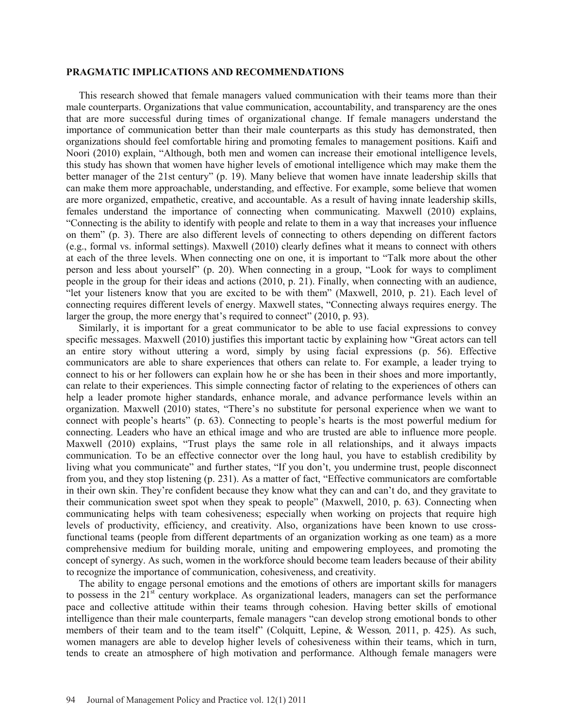#### **PRAGMATIC IMPLICATIONS AND RECOMMENDATIONS**

This research showed that female managers valued communication with their teams more than their male counterparts. Organizations that value communication, accountability, and transparency are the ones that are more successful during times of organizational change. If female managers understand the importance of communication better than their male counterparts as this study has demonstrated, then organizations should feel comfortable hiring and promoting females to management positions. Kaifi and Noori (2010) explain, "Although, both men and women can increase their emotional intelligence levels, this study has shown that women have higher levels of emotional intelligence which may make them the better manager of the 21st century" (p. 19). Many believe that women have innate leadership skills that can make them more approachable, understanding, and effective. For example, some believe that women are more organized, empathetic, creative, and accountable. As a result of having innate leadership skills, females understand the importance of connecting when communicating. Maxwell (2010) explains, "Connecting is the ability to identify with people and relate to them in a way that increases your influence on them" (p. 3). There are also different levels of connecting to others depending on different factors (e.g., formal vs. informal settings). Maxwell (2010) clearly defines what it means to connect with others at each of the three levels. When connecting one on one, it is important to "Talk more about the other person and less about yourself" (p. 20). When connecting in a group, "Look for ways to compliment people in the group for their ideas and actions (2010, p. 21). Finally, when connecting with an audience, "let your listeners know that you are excited to be with them" (Maxwell, 2010, p. 21). Each level of connecting requires different levels of energy. Maxwell states, "Connecting always requires energy. The larger the group, the more energy that's required to connect" (2010, p. 93).

Similarly, it is important for a great communicator to be able to use facial expressions to convey specific messages. Maxwell (2010) justifies this important tactic by explaining how "Great actors can tell an entire story without uttering a word, simply by using facial expressions (p. 56). Effective communicators are able to share experiences that others can relate to. For example, a leader trying to connect to his or her followers can explain how he or she has been in their shoes and more importantly, can relate to their experiences. This simple connecting factor of relating to the experiences of others can help a leader promote higher standards, enhance morale, and advance performance levels within an organization. Maxwell (2010) states, "There's no substitute for personal experience when we want to connect with people's hearts" (p. 63). Connecting to people's hearts is the most powerful medium for connecting. Leaders who have an ethical image and who are trusted are able to influence more people. Maxwell (2010) explains, "Trust plays the same role in all relationships, and it always impacts communication. To be an effective connector over the long haul, you have to establish credibility by living what you communicate" and further states, "If you don't, you undermine trust, people disconnect from you, and they stop listening (p. 231). As a matter of fact, "Effective communicators are comfortable in their own skin. They're confident because they know what they can and can't do, and they gravitate to their communication sweet spot when they speak to people" (Maxwell, 2010, p. 63). Connecting when communicating helps with team cohesiveness; especially when working on projects that require high levels of productivity, efficiency, and creativity. Also, organizations have been known to use crossfunctional teams (people from different departments of an organization working as one team) as a more comprehensive medium for building morale, uniting and empowering employees, and promoting the concept of synergy. As such, women in the workforce should become team leaders because of their ability to recognize the importance of communication, cohesiveness, and creativity.

The ability to engage personal emotions and the emotions of others are important skills for managers to possess in the  $21<sup>st</sup>$  century workplace. As organizational leaders, managers can set the performance pace and collective attitude within their teams through cohesion. Having better skills of emotional intelligence than their male counterparts, female managers "can develop strong emotional bonds to other members of their team and to the team itself" (Colquitt, Lepine, & Wesson*,* 2011, p. 425). As such, women managers are able to develop higher levels of cohesiveness within their teams, which in turn, tends to create an atmosphere of high motivation and performance. Although female managers were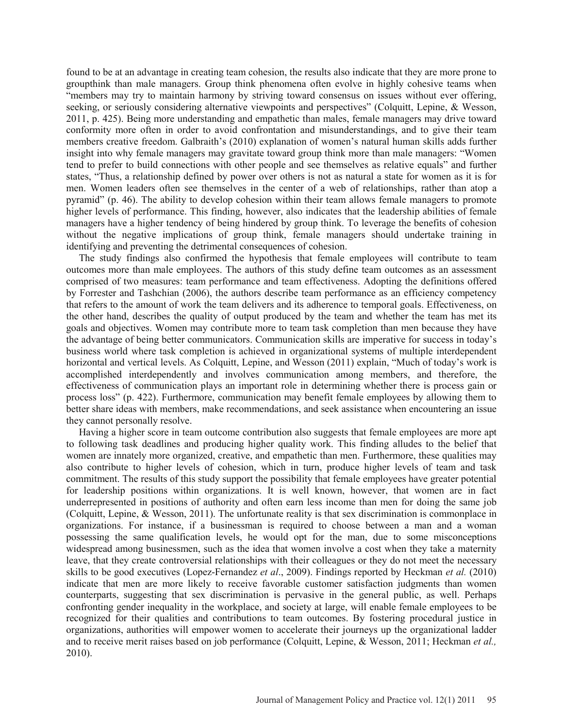found to be at an advantage in creating team cohesion, the results also indicate that they are more prone to groupthink than male managers. Group think phenomena often evolve in highly cohesive teams when "members may try to maintain harmony by striving toward consensus on issues without ever offering, seeking, or seriously considering alternative viewpoints and perspectives" (Colquitt, Lepine, & Wesson, 2011, p. 425). Being more understanding and empathetic than males, female managers may drive toward conformity more often in order to avoid confrontation and misunderstandings, and to give their team members creative freedom. Galbraith's (2010) explanation of women's natural human skills adds further insight into why female managers may gravitate toward group think more than male managers: "Women tend to prefer to build connections with other people and see themselves as relative equals" and further states, "Thus, a relationship defined by power over others is not as natural a state for women as it is for men. Women leaders often see themselves in the center of a web of relationships, rather than atop a pyramid" (p. 46). The ability to develop cohesion within their team allows female managers to promote higher levels of performance. This finding, however, also indicates that the leadership abilities of female managers have a higher tendency of being hindered by group think. To leverage the benefits of cohesion without the negative implications of group think, female managers should undertake training in identifying and preventing the detrimental consequences of cohesion.

The study findings also confirmed the hypothesis that female employees will contribute to team outcomes more than male employees. The authors of this study define team outcomes as an assessment comprised of two measures: team performance and team effectiveness. Adopting the definitions offered by Forrester and Tashchian (2006), the authors describe team performance as an efficiency competency that refers to the amount of work the team delivers and its adherence to temporal goals. Effectiveness, on the other hand, describes the quality of output produced by the team and whether the team has met its goals and objectives. Women may contribute more to team task completion than men because they have the advantage of being better communicators. Communication skills are imperative for success in today's business world where task completion is achieved in organizational systems of multiple interdependent horizontal and vertical levels. As Colquitt, Lepine, and Wesson (2011) explain, "Much of today's work is accomplished interdependently and involves communication among members, and therefore, the effectiveness of communication plays an important role in determining whether there is process gain or process loss" (p. 422). Furthermore, communication may benefit female employees by allowing them to better share ideas with members, make recommendations, and seek assistance when encountering an issue they cannot personally resolve.

Having a higher score in team outcome contribution also suggests that female employees are more apt to following task deadlines and producing higher quality work. This finding alludes to the belief that women are innately more organized, creative, and empathetic than men. Furthermore, these qualities may also contribute to higher levels of cohesion, which in turn, produce higher levels of team and task commitment. The results of this study support the possibility that female employees have greater potential for leadership positions within organizations. It is well known, however, that women are in fact underrepresented in positions of authority and often earn less income than men for doing the same job (Colquitt, Lepine, & Wesson, 2011). The unfortunate reality is that sex discrimination is commonplace in organizations. For instance, if a businessman is required to choose between a man and a woman possessing the same qualification levels, he would opt for the man, due to some misconceptions widespread among businessmen, such as the idea that women involve a cost when they take a maternity leave, that they create controversial relationships with their colleagues or they do not meet the necessary skills to be good executives (Lopez-Fernandez *et al*., 2009). Findings reported by Heckman *et al.* (2010) indicate that men are more likely to receive favorable customer satisfaction judgments than women counterparts, suggesting that sex discrimination is pervasive in the general public, as well. Perhaps confronting gender inequality in the workplace, and society at large, will enable female employees to be recognized for their qualities and contributions to team outcomes. By fostering procedural justice in organizations, authorities will empower women to accelerate their journeys up the organizational ladder and to receive merit raises based on job performance (Colquitt, Lepine, & Wesson, 2011; Heckman *et al.,*  2010).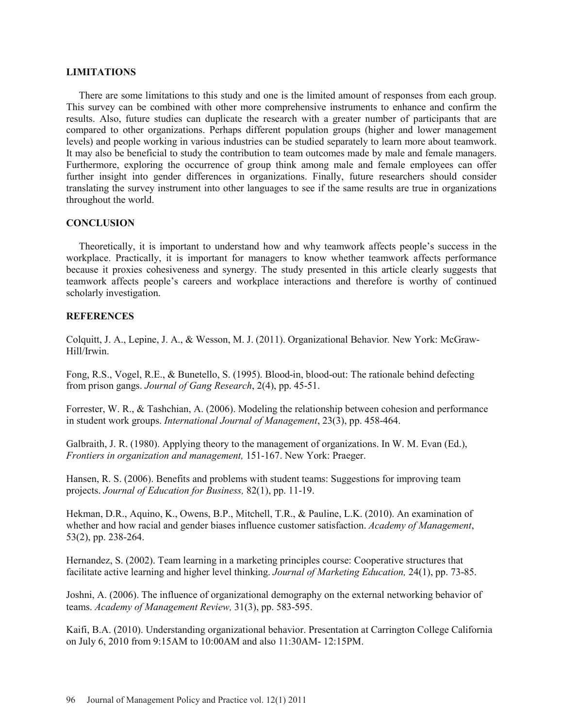#### **LIMITATIONS**

There are some limitations to this study and one is the limited amount of responses from each group. This survey can be combined with other more comprehensive instruments to enhance and confirm the results. Also, future studies can duplicate the research with a greater number of participants that are compared to other organizations. Perhaps different population groups (higher and lower management levels) and people working in various industries can be studied separately to learn more about teamwork. It may also be beneficial to study the contribution to team outcomes made by male and female managers. Furthermore, exploring the occurrence of group think among male and female employees can offer further insight into gender differences in organizations. Finally, future researchers should consider translating the survey instrument into other languages to see if the same results are true in organizations throughout the world.

## **CONCLUSION**

Theoretically, it is important to understand how and why teamwork affects people's success in the workplace. Practically, it is important for managers to know whether teamwork affects performance because it proxies cohesiveness and synergy. The study presented in this article clearly suggests that teamwork affects people's careers and workplace interactions and therefore is worthy of continued scholarly investigation.

## **REFERENCES**

Colquitt, J. A., Lepine, J. A., & Wesson, M. J. (2011). Organizational Behavior*.* New York: McGraw-Hill/Irwin.

Fong, R.S., Vogel, R.E., & Bunetello, S. (1995). Blood-in, blood-out: The rationale behind defecting from prison gangs. *Journal of Gang Research*, 2(4), pp. 45-51.

Forrester, W. R., & Tashchian, A. (2006). Modeling the relationship between cohesion and performance in student work groups. *International Journal of Management*, 23(3), pp. 458-464.

Galbraith, J. R. (1980). Applying theory to the management of organizations. In W. M. Evan (Ed.), *Frontiers in organization and management,* 151-167. New York: Praeger.

Hansen, R. S. (2006). Benefits and problems with student teams: Suggestions for improving team projects. *Journal of Education for Business,* 82(1), pp. 11-19.

Hekman, D.R., Aquino, K., Owens, B.P., Mitchell, T.R., & Pauline, L.K. (2010). An examination of whether and how racial and gender biases influence customer satisfaction. *Academy of Management*, 53(2), pp. 238-264.

Hernandez, S. (2002). Team learning in a marketing principles course: Cooperative structures that facilitate active learning and higher level thinking. *Journal of Marketing Education,* 24(1), pp. 73-85.

Joshni, A. (2006). The influence of organizational demography on the external networking behavior of teams. *Academy of Management Review,* 31(3), pp. 583-595.

Kaifi, B.A. (2010). Understanding organizational behavior. Presentation at Carrington College California on July 6, 2010 from 9:15AM to 10:00AM and also 11:30AM- 12:15PM.